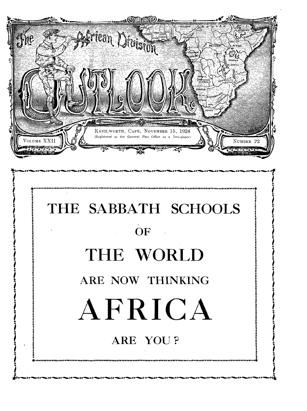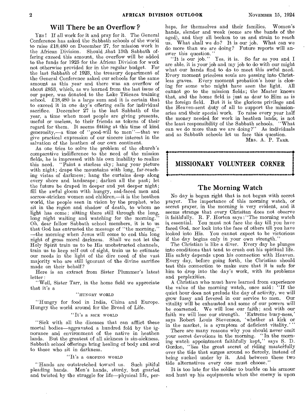#### **Will There be an Overflow ?**

YES ! If all work for it and pray for it. The General Conference has asked the Sabbath schools of the world to raise £18,480 on December 27, for mission work in the African Division. Should that 13th Sabbath offering exceed this amount, the overflow will be added to the funds for 1925 for the African Division for work not otherwise provided for in the regular budget. For the last Sabbath of 1923, the treasury department of the General Conference asked our schools for the same amount as this year and there was an overflow of about £853, which, as we learned from the last issue of our paper, was donated to the Lake Titicaca training school. £18,480 is a large sum and it is certain that to exceed it in one day's offering calls for individual sacrifice. December  $27$  is the last Sabbath of the year, a time when most people are giving presents, useful or useless, to their friends as tokens of their regard for them. It seems fitting at this time of kind generosity,—a time of "good-will to men"—that we give practical expression of our sincere interest in the salvation of the heathen of our own continent.

As one tries to solve the problem of the church's comparative indifference to the need of the mission fields, he is impressed with his own inability to realize this need. "Paint a starless sky; hang your picture with night; drape the mountains with long, far-reaching vistas of darkness; hang the curtains deep along every shore and landscape; darken all the past; let the future be draped in deeper and yet deeper night; fill the awful gloom with hungry, sad-faced men and sorrow-stricken women and children,—it is the heathen world, the people seen in vision by the prophet, who sit in the region and shadow of death, to whom no light has come; sitting there still through the long, long night waiting and watching for the morning. Oh, dear fellow Sabbath school members, it is to us that God has entrusted the message of "the morning," —the morning when Jesus will come to end this long night of gross moral darkness. Shall we not let the Holy Spirit train us to be His unobstructed channels, train us to keep self out of sight, train us to estimate our needs in the light of the dire need of the vast majority who are still ignorant of the divine sacrifice made on their behalf?

Here is an extract from Sister Plummer's latest letter :

"Well, Sister Tarr, in the home field we appreciate that it's a

#### "HUNGRY WORLD

"Hungry for food in India, China and Europe. Hungry the world around for the Bread of Life.

#### "It's a SICK WORLD

"Sick with all the diseases that can afflict these mortal bodies—aggravated a hundred fold by the ignorance and environment of the native in heathen lands. But the greatest of all sickness is sin-sickness. Sabbath school offerings bring healing of body and soul to those who sit in darkness.

#### "It's a GROPING WORLD

"Hands are outstretched toward us. Such pitiful pleading hands. Men's hands, sturdy, but gnarled and twisted by the struggle for life—physical life, perhaps, for themselves and their families. Women's hands, slender and weak (some are the hands of the aged), and they all beckon to us and strain to reach us. What shall we do? It is our job. What can we do more than we are doing? Future reports will answer this question."

"It is our job." Yes, it is. So far as you and I are able, it is your job and my job to do with our might what our hands find to do to meet this awful need. Every moment priceless souls are passing into Christless graves. Every moment probation's hour is closing for some who might have seen the light. All cannot go to the mission fields; the Master knows that, and the home field is just as dear to Him as is the foreign field. But it is the glorious privilege and the Heaven-sent duty of all to support the missionaries and their special work. To raise every year half the money needed for work in heathen lands; is not the least responsibility of the Sabbath schools. "What can we do more than we are doing?" As individuals and as Sabbath schools let us face this question.

MRS. A. P. TARR.

## •<br>•<br>• **MISSIONARY VOLUNTEER CORNER**  • •

### **The Morning Watch**

No day is begun right that is not begun with secret prayer. The importance of this morning watch, or secret prayer, in the morning is very evident, and it seems strange that every Chrisitan does not observe it faithfully. R. F. Horton says : "The morning watch is essential. You must not face the day till you have faced God, nor look into the face of others till you have looked into His. You cannot expect to be victorious if the day begins only in your own strength."

The Christian is like a diver. Every day he plunges into conditions that tend to crush out his spiritual life. His safety depends upon his connection with Heaven. Every day, before going forth, the Christian should test this connection to make sure that it is safe for him to drop into the day's work, with its problems and perplexities.

A Christian who must have learned from experience the value of the morning watch, once said : "If the quiet hour does not prelude the day of activity, we will grow fussy and fevered in our service to men. Our vitality will be exhausted and some of our powers will be coarsened. We will lose our faith; and with our faith we will lose our strength. 'Extreme busy-ness,' says Robert Louis Stevenson, 'whether at kirk or in the market, is a symptom of deficient vitality.'"

There are many reasons why you should never omit your secret devotions in the morning. "In the morning watch appointment faithfully kept," says S. D. Gordon, "lies the great secret of riding masterfully over the tide that surges around so fiercely, instead of being sucked under by it. And between these two tide alternatives every one must choose."

It is too late for the soldier to buckle on his armour and hunt up his equipments when the enemy is upon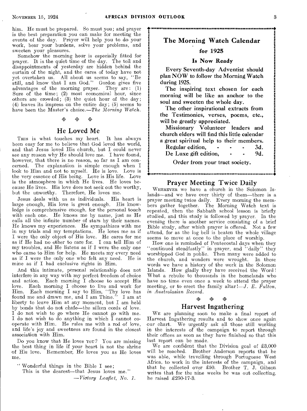•

him. He must be prepared. So must you; and prayer is the best preparation you can make for meeting the events of the day. Prayer will help you to do your work, bear your burdens, solve your problems, and sweeten your pleasures.

Somehow the morning hour is especially fitted for prayer. It is the quiet time of the day. The toil and disappointments of yesterday are hidden behind the curtain of the night, and the cares of today have not yet overtaken us. All about us seems to say, "Be still, and know that I am God." Gordon gives five advantages of the morning prayer. They are: (1) Sure of the time; (2) most economical hour, since others are crowded;  $(3)$  the quiet hour of the day; (4) leaves its impress on the entire day; (5) seems to have been the Master's choice.—*The Morning Watch.*<br>  $\otimes \qquad \otimes$ 

### He Loved Me

THIS is what touches my heart. It has always been easy for me to believe that God loved the world, and that Jesus loved His church, but I could never see any reason why He should love me. I have found, however, that there is no reason, so far as I am concerned. The explanation is simple enough when I The explanation is simple enough when I look to Him and not to myself. He is love. Love is the very essence of His being. Love is His life. Love is the atmosphere in which He lives. He loves because He lives. His love does not seek out the worthy, but the unworthy. Therefore, He loves me.

Jesus deals with us as individuals. His heart is large enough, His love is great enough. His knowledge is comprehensive enough, for the personal touch with each one. He knows me by name, just as He calls all the infinite number of stars by their names. He knows my experiences. He sympathizes with me in my trials and my temptations. He loves me as if I were the only object of His love. He cares for me as if He had no other to care for. I can tell Him of my troubles, and He listens as if I were the only one who came to Him for help. He meets my every need as if I were the only one who felt any need. He is mine as if I had exclusive rights in Him.

And this intimate, personal relationship does not interfere in any way with my perfect freedom of choice and action. Each morning I choose to accept His love. Each morning I choose to live and work for Him. Each morning I say to Him, "Thy love has found me and drawn me, and I am Thine." I am at found me and drawn me, and I am Thine." liberty to leave Him at any moment, but I am held by bonds that do not chafe—the silken cords of love. I do not wish to go where He cannot go with me. I do not wish to do anything in which I cannot cooperate with Him. He rules me with a rod of love, and life's joy and sweetness are found in the closest association with Him.

Do you know that He loves You? You are missing the best thing in life if your heart is not the shrine of His love. Remember, He loves you as He loves me.

" Wonderful things in the Bible I see; This is the dearest—that Jesus loves me." *—Victory Leaflet, No. 1.* 

### The Morning Watch Calendar

• •

### **for 1925**

#### **Is Now Ready**

Every Seventh-day Adventist should plan NOW to follow the Morning Watch during 1925.

The inspiring text chosen for each morning will be like an anchor to the soul and sweeten the whole day.

The other inspirational extracts from the Testimonies, verses, poems, etc., will be greatly appreciated.

| Missionary Volunteer leaders and             |  |  |     |
|----------------------------------------------|--|--|-----|
| church elders will find this little calendar |  |  |     |
| a great spiritual help to their members.     |  |  |     |
| Regular edition,                             |  |  | 3d. |
| De Luxe gift edition,                        |  |  | 9d. |
| Order from your tract society.               |  |  |     |

### Prayer Meeting Twice Daily

WHEREVER we have a church in the Solomon Islands—and we have over thirty of them—there is a prayer meeting twice daily. Every morning the members gather together. The Morning Watch text is repeated, then the Sabbath school lesson is briefly studied, and this study is followed by prayer. In the evening there is another service consisting of a brief Bible study, after which prayer is offered. Not a few attend, for as the log bell is beaten the whole village seems to move at once to the place of worship.

How one is reminded of Pentecostal days when they "continued steadfastly" in prayer, and "daily" they worshipped God in public. Then many were added to the church, and wonders were wrought. In these words we have a history of the work in the Solomon Islands. How gladly they have received the Word ! What a rebuke to thousands in the homelands who have no time even once a week to attend the prayer meeting, or to erect the family altar *!—J. E. Fulton*, *in Australasian Record.* 

#### 0,7,4 p4 ita

#### Harvest Ingathering

WE are planning soon to make a final report of Harvest Ingathering results and to show once again We urgently ask all those still working in the interests of the campaign to report through their offices as soon as they have finished so that this last report can be made.

We are confident that the Division goal of  $\pounds3,000$ will be reached. Brother Anderson reports that he was able, while travelling through Portuguese West Africa, to work in the interests of the campaign, and that he collected over £50. Brother T. J. Gibson writes that for the nine weeks he was out collecting, he raised  $\pounds 250-17-3$ .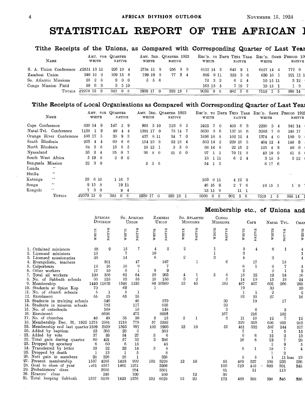# STATISTICAL REPORT OF THE AFRICAN

## Tithe Receipts of the Unions, as Compared with Corresponding Quarter of Last Yeal

| <b>NAME</b>            | AMT. FOR QUARTER<br>WEITE | <b>NATIVE</b>        | <b>WHITE</b>   | AMT. 3RD. QUARTER 1923<br><b>NATIVE</b> | REC'D. TO DATE THIS YEAR REC'D. SAME PERIOD 19<br>WHITE | <b>NATIVE</b>         | WHITE     | <b>NATIVE</b> |
|------------------------|---------------------------|----------------------|----------------|-----------------------------------------|---------------------------------------------------------|-----------------------|-----------|---------------|
| S. A. Union Conference | £2551 13 11               | 226 19 4             | 2734 11 9      | 256 9 9                                 | 8112 14 2                                               | 645 9 1               | 6857 14   | 772 0         |
| Zambesi Union          | 340 12 2                  | 109, 15, 6           | 199 19 9       | 77 3 4                                  | 689 9 11                                                | 323 3 6               | 630 16 1  | 221 11 1      |
| So. Atlantic Missions  | 28 2 8                    | 200                  | 556            |                                         | 72 3 2                                                  | 6 2 4                 | 10 15 11  | $3\;12$       |
| Congo Mission Field    | 50 6 3                    | $3 \quad 5 \quad 10$ |                |                                         | 163135                                                  | 7 10 7                | 10, 15, 1 | $1 \quad 9$   |
| <b>TOTALS</b>          | $\pounds 2970$ 15 0       | 342<br>08            | 2939 17<br>- 0 | 333 13 1                                | 9038 0 8                                                | $982 \quad 5 \quad 6$ | 7510 1 5  | 998 14        |

### Tithe Receipts of Local Organisations as Compared with Corresponding Quarter of Last Yea

| <b>NAME</b>             |          | WHITE        |            | AMT. FOR QUARTER | <b>NATIVE</b>  |    | WHITE     |       |              | AMT. 3RD. QUARTER 1923<br><b>NATIVE</b> |          |            |         | WHITE    |                |     |          | NATIVE          |     | REC'D. TO DATE THIS YEAR REC'D. SAME PERIOD 1923<br>WHITE |                |             |        | <b>NATIVE</b>    |
|-------------------------|----------|--------------|------------|------------------|----------------|----|-----------|-------|--------------|-----------------------------------------|----------|------------|---------|----------|----------------|-----|----------|-----------------|-----|-----------------------------------------------------------|----------------|-------------|--------|------------------|
| Cape Conference         | 829 14 9 |              |            | 147              | 59             |    | 905       |       | 5 10         | 123                                     | -8       | - 2        | 2425    |          | $\overline{7}$ | - 0 | 405      | 63              |     | 2200                                                      |                | $3\quad 4$  | 342 14 |                  |
| Natal-Tvl. Conference   | 1128     | $\mathbf{I}$ | -9         | 49               | $\overline{4}$ | 4  | 1391 17 0 |       |              | 78 14                                   |          | - 7        | 3830    |          | - 8            | -6  | 137 10 6 |                 |     | 3283                                                      |                | 7 0         | 248 17 |                  |
| Orange River Conference | 593 17   |              | - 5        | 30               | 9              | 3  | 437       |       | 8 11         | 54                                      | 7        | $\Omega$   | 1856 18 |          |                | -8  | 102 12   |                 | -4  | 1374                                                      | $\overline{4}$ | $\Omega$    | 180    | - 9              |
| South Rhodesia          | 223      | 4            | 4          | 69               | 6              | -6 | 154 19    |       | 8            | 52 18                                   |          | -4         |         | 503 14   |                | -2  | 229 16   |                 | - 8 | 464 12                                                    |                | -4          | 140 3  |                  |
| North Rhodesia          | 84       | 5            | -6         | 15               | -8             | 5  |           | 18 12 | $\mathbf{1}$ | $\mathcal{S}$                           |          | $5\quad 0$ |         | 88 14    |                | -8  | 22 15    |                 | - 2 | 125                                                       | $\overline{4}$ | -9          | 40     | $\bf{0}$         |
| Nyasaland               | 33       | $^{2}$       | -4         | 25.              | $\theta$       | 7  | 26        | 8     | $\Omega$     | 21.                                     | $\theta$ | - 0        | 97      |          |                |     |          | 70 11 8         |     |                                                           | 40 19 0        |             | 41     | - 8              |
| South West Africa       |          | 5 19         | -8         | $^{9}$           | $0\quad 0$     |    |           |       |              |                                         |          |            | 18      |          | -1-11          |     | 6        | $^{2}$          | -4  |                                                           | 3 18 5         |             |        | 3 1 2            |
| Benguela Mission        | 22       |              | $3\quad 0$ |                  |                |    | 5         | 5     | -6           |                                         |          |            | 54      |          | 1 3            |     |          |                 |     |                                                           | 6 17 6         |             |        |                  |
| 44<br>Lunda             |          |              |            |                  |                |    |           |       |              |                                         |          |            |         |          |                |     |          |                 |     |                                                           |                |             |        |                  |
| $\pm$ 4<br>Huilla       |          |              |            |                  |                |    |           |       |              |                                         |          |            |         |          |                |     |          |                 |     |                                                           |                |             |        |                  |
| 6.4<br>Katanga          | 33       | 6 10         |            |                  | 1 16 7         |    |           |       |              |                                         |          |            | 103     |          | $0\,$ 11       |     |          | 4120            |     |                                                           |                |             |        |                  |
| 44<br>Songa             |          | 915          | -8         |                  | 19 11          |    |           |       |              |                                         |          |            |         | 46 16    |                | ୍ର  |          | 2 7             | - 6 |                                                           | 10 15 1        |             |        | $1 \overline{9}$ |
| 6.6<br>Kongolo          | 7        | - 3          | -9         |                  | 9              | 4  |           |       |              |                                         |          |            |         | 13 15    |                | -9  |          | 11 <sub>1</sub> |     |                                                           |                |             |        |                  |
| TOTALS                  | £2970 15 |              | $\Omega$   | 342              | $\mathbf{0}$   | 8  | 2939 17   |       | $\Omega$     | 333 13                                  |          |            | 9038    | $\theta$ |                | 8   | 982      | 5               | -6  | 7510                                                      |                | $\tilde{5}$ | 998 14 |                  |

### Membership etc., of Unions and

|     |                                                    |              | AFRICAN<br>DIVISION |              | SO. AFRICAN<br>UNION |         | ZAMBESI<br>UNION |                | SO. ATLANTIC<br><b>MISSIONS</b> |                  | Congo<br><b>MISSIONS</b> |                  | $_{\rm CAPE}$  |                  | NATAL TVL.   | ORAN                    |
|-----|----------------------------------------------------|--------------|---------------------|--------------|----------------------|---------|------------------|----------------|---------------------------------|------------------|--------------------------|------------------|----------------|------------------|--------------|-------------------------|
|     |                                                    | WHITE        | NATIVE              | <b>WHITE</b> | NATIVE               | WHITE   | NATIVE           | WHITE          | NATIVE                          | WHITE            | NATIVE                   | WHTE             | <b>NATIVE</b>  | <b>WHITE</b>     | NATIVE       | <b>HITE</b><br>B.       |
|     | Ordained ministers<br>Licensed ministers           | 28<br>18     | 9                   | 15<br>7      | 7                    | 4<br>10 | $\boldsymbol{2}$ | 2              |                                 | 1<br>$\mathbf 1$ |                          | 3<br>3           | $\overline{4}$ | 6                | 1            | 4                       |
|     | Licensed missionaries                              | 28           |                     | 14           |                      | 6       |                  | $\overline{2}$ |                                 | 3                |                          | $\overline{4}$   |                | 3                |              |                         |
|     | Evangelists, teachers                              |              | 301                 |              | 47                   |         | 247              |                | 1                               |                  | 6                        |                  | 17             |                  | 15           | 4                       |
|     | 5. Colporteurs                                     | 18           | 16                  | 18           | 9                    |         |                  |                |                                 |                  |                          | 6                | 1              | 8                | 7            | 4                       |
|     | 6. Other workers                                   | 17           | 10                  | 8            | 1                    | 9       | 9                |                |                                 |                  |                          | $\boldsymbol{2}$ |                | $^{2}$           |              | 3                       |
|     | Total all workers                                  | 109          | 336                 | 62           | 64                   | 29      | 265              | 4              | 1                               | 5                | 6                        | 18               | 22             | 19               | 24           | 16                      |
|     | 8. No. of Sabbath schools                          | 66           | 218                 | 53           | 53                   | 10      | 158              | 3              | $\boldsymbol{2}$                |                  | 5                        | 14               | 19             | 15               | 18           | 24                      |
|     | 9. Membership                                      | 1440         | 11833               | 1348         | 1122                 |         | 80 10389         | 12             | 40                              |                  | 282                      | 487              | 457            | 601              | 266          | 260                     |
|     | 10. Students at Spion Kop                          | 70           |                     | 69           |                      | 1       |                  |                |                                 |                  |                          | 19               |                | 30               |              | 20                      |
|     | 11. No. of church schools                          | 5            | 1                   | 5            | 1                    |         |                  |                |                                 |                  |                          | 1                | 1              | $\boldsymbol{2}$ |              | $\boldsymbol{2}$        |
| 12. | Enrolment                                          | 65           | 25                  | 65           | 25                   |         |                  |                |                                 |                  |                          | 22               | 25             | 27               |              | 16                      |
|     | 13. Students in training schools                   |              | 346                 |              | 46                   |         | 270              |                |                                 |                  | 30                       |                  | 19             |                  | 17           |                         |
|     | 14. Students in mission schools                    |              | 782                 |              | 117                  |         | 635              |                |                                 |                  | 30                       |                  |                |                  |              |                         |
|     | 15. No. of outschools                              |              | 169                 |              | 18                   |         | 148              |                |                                 |                  | 3                        |                  | 6              |                  | 5            |                         |
|     | 16. Enrolment                                      |              | 8698                |              | 473                  |         | 8058             |                |                                 |                  | 167                      |                  | 216            |                  | 102          |                         |
|     | 17. No. of churches                                | 40           | 49                  | 35           | 30                   | 3       | $15\,$           | 2              | 1                               |                  | 3                        | 11               | 10             | 12               | 7            | 12                      |
|     | 18. Membership Dec. 31, 1922 1275                  |              | 2981                | 1218         | 779                  | 57      | 2202             |                |                                 |                  |                          | 329              | 359            | 606              | 201          | 283                     |
|     | 19. Membership end last quarter 1509               |              | 3959                | 1395         | 991                  | 102     | 2903             | 12             | 10                              |                  | 55                       | 481              | 332            | 597              | 244          | 317                     |
|     | 20. Added by baptism                               | 23           | 388                 | 23           | 8                    |         | 380              |                |                                 |                  |                          |                  |                | 1                | 5            | 15                      |
|     | 21. Added by vote                                  | 37           | 33                  | 34           | 27                   | 3       | 6                |                |                                 |                  |                          | 9                | 6              | 12               | $\bf{2}$     | 13                      |
|     | Total gain during quarter                          | 60           | 421                 | 57           | 35                   | 3       | 386              |                |                                 |                  |                          | 16               | 6              | 13               | 7            | 28                      |
|     | 23. Dropped by apostasy                            | 6            | 60                  | 6            | 15                   |         | 45               |                |                                 |                  |                          |                  |                | $\mathbf{1}$     | 9            | 5                       |
|     | 24. Transferred by letter                          | 25           | 22                  | 22           | 14                   | 3       | 8                |                |                                 |                  |                          | 8                | 1              | 10               | 7            | $\overline{\mathbf{4}}$ |
|     | 25. Dropped by death                               | 1            | 13                  | $\mathbf{1}$ | $\tilde{\text{o}}$   |         | 8                |                |                                 |                  |                          |                  |                | 1                | $\mathbf{2}$ |                         |
|     | 26. Nett gain in members<br>27. Present membership | 28           | 326                 | 28           | 1                    |         | 325              |                |                                 |                  |                          | 8                | 5              | 1                | 11 loss      | 19                      |
|     | 28. Goal to close of year                          | 1537<br>1461 | 4285<br>4557        | 1423<br>1461 | 992<br>1251          | 102     | 3228<br>3206     | 12             | 10                              |                  | 55                       | 489              | 337            | 598              | 233          | 336                     |
|     | 29. Probationers' class                            |              | 3666                |              | 284                  |         | 3301             |                |                                 |                  | 100                      | 510              | 448            | 603              | 301          | 348                     |
|     | 30. Hearers' class                                 |              | 248                 |              | 100                  |         | 100              |                | 12                              |                  | 81<br>36                 |                  | 51             |                  | 113          |                         |
|     | 31. Total keeping Sabbath                          | 1537         | 8199                | 1423         | 1376                 | 102     | 6629             | 12             | 22                              |                  | 172                      | 489              | 388            | 598              | 346          | 336                     |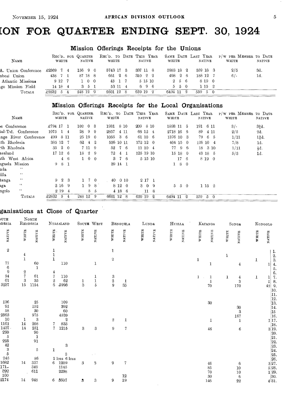# **CON FOR QUARTER ENDING SEPT. 30, 1924**

### Mission Offerings Receipts for the Unions

| NAME                    | REC'D. FOR QUARTER<br>WHITE |         | NATIVE            | REC'D. TO DATE THIS YEAR<br>WHITE |         | NATIVE   |         | WHITE     |       | <b>NATIVE</b> | SAME DATE LAST YEAR P/W PER MEMBER TO DATE<br>WHITE | <b>NATIVE</b> |
|-------------------------|-----------------------------|---------|-------------------|-----------------------------------|---------|----------|---------|-----------|-------|---------------|-----------------------------------------------------|---------------|
| A. Union Conference     | £2369 7 4                   | 156 9 0 |                   | 5743 17 3                         |         | 337 11 8 |         | 5983 18 2 |       | 359 18 3      | 2/5                                                 | -3d.          |
| $\rm abesi$ $\rm Union$ | 438 7 1                     |         | 87 18 8           | 661 2 6                           |         | 310 2 2  |         | 498 2 6   |       | 188 12 7      | 6/                                                  | 1d.           |
| Atlantic Missions       | 9 1 2 7                     |         | 100               |                                   | 43 1 7  |          | 5 15 10 |           | 2 5 6 | 8 19 0        |                                                     |               |
| lgo Mission Field       | $14 \ 18 \ 4$               |         | $3\quad 5\quad 1$ |                                   | 53 11 4 |          | 696     |           | 550   | 1152          |                                                     |               |
| TOTALS                  | £2832 5                     |         | 248 12 9          | 6601 12                           |         | 659 19 2 |         | 6494 11 2 |       | 559 5 0       |                                                     |               |

### Mission Offerings Receipts for the Local Organisations

| NAME                         | REC'D. FOR QUARTER<br>WHITE | <b>NATIVE</b>              | REC'D. TO<br>WHITE         | DATE THIS YEAR<br><b>NATIVE</b> | SAME DATE LAST YEAR<br>WHITE | NATIVE              | P/W PER MEMBER TO DATE<br>WHITE<br>NATIVE |
|------------------------------|-----------------------------|----------------------------|----------------------------|---------------------------------|------------------------------|---------------------|-------------------------------------------|
| e Conference                 | £794 17 1                   | $102 \t 0 \t 3$            | 8 10<br>1931               | 8 10<br>209                     | $1893$ 11 $5$                | 191 6 11            | $32d$ .<br>$3/-$                          |
| $\text{tal-Tvl.}$ Conference | 1075<br>$1\quad4$           | 28<br>-9<br>- 9            | 2857<br>4 11               | 66 12 4                         | 2718 16 6                    | 89<br>4 11          | 2d.<br>2/5                                |
| nge River Conference         | 8 11<br>499                 | 25 19<br>$\Omega$          | 1055<br>36                 | 61 10 6                         | 1376 10 3                    | 79.<br>6 5          | 14d.<br>1/11                              |
| th Rhodesia                  | 385 12<br>-7                | 62.<br>-9.<br>$\pm$        | 536 10 11                  | 172 12 0                        | $404$ 15 0                   | $126$ 10 4          | 7/8<br>1d.                                |
| th Rhodesia                  | -2<br>35<br>$\theta$        | 7 11 9                     | 52<br>76                   | $11 \; 10 \; 4$                 | 77 9<br>- 6                  | 18 3 10             | łd.<br>1/11                               |
| asaland                      | $17\;12$<br>-6              | - 2<br>18<br>-9            | 72<br>-1<br>$\overline{4}$ | 125 19 10                       | 15 18<br>$\overline{0}$      | 43 18 5             | 5/3<br>1d.                                |
| ith West Africa              | $4\quad 6$                  | $\overline{0}$<br>$\theta$ | $\mathbf{3}$<br>-76        | 5 15 10                         | 17<br>-6                     | 8 19 0              |                                           |
| iguela Mission               | 981                         |                            | 39 14 1                    |                                 | 180                          |                     |                                           |
| 6.6<br>nda                   |                             |                            |                            |                                 |                              |                     |                                           |
| $\epsilon$<br>illa           |                             |                            |                            |                                 |                              |                     |                                           |
| 4.4<br>tanga                 | $9\quad 2$<br>-3            | - 0                        | 40<br>$0\,10$              | 2 17 1                          |                              |                     |                                           |
| 4.4<br>ıga                   | $2\,16$<br>- 9              | -9.<br>-8                  | 8 1 2 0                    | $3\quad0$<br>-9                 | $5^{\circ}$<br>5 0           | $1\;15\;2$          |                                           |
| 44<br>ngolo                  | $2\;19$<br>$\overline{4}$   | 8<br>-5                    | 4186                       | $11\,$<br>-8                    |                              |                     |                                           |
| <b>TOTALS</b>                | £2832<br>-5<br>4            | 248 12<br>- 9              | 6601 12<br>8               | 659 19<br>$^{9}$                | $\Omega$<br>6494 11          | $559\quad 5\quad 0$ |                                           |

### ganisations at Close of Quarter

|                                                        |                                | gamsauons at                        |                      |                               | nose of <i>Martier</i>       |                                    |                         |                      |       |        |       |               |                                          |                                                                                                 |       |                                      |       |                                                                                                                                                                                                                                                                                                                                                                                                                    |
|--------------------------------------------------------|--------------------------------|-------------------------------------|----------------------|-------------------------------|------------------------------|------------------------------------|-------------------------|----------------------|-------|--------|-------|---------------|------------------------------------------|-------------------------------------------------------------------------------------------------|-------|--------------------------------------|-------|--------------------------------------------------------------------------------------------------------------------------------------------------------------------------------------------------------------------------------------------------------------------------------------------------------------------------------------------------------------------------------------------------------------------|
| UTH<br><b>DESIA</b>                                    |                                | NORTH<br>RHODESIA                   |                      | NYASALAND                     |                              | SOUTH WEST                         |                         | BENGUELA             |       | LUNDA  |       | HUILLA        |                                          | $\operatorname{KATANGA}$                                                                        |       | $\operatorname{SoxGa}$               |       | KONGOLO                                                                                                                                                                                                                                                                                                                                                                                                            |
| NATIVE                                                 | WHTE                           | NATIVE                              | WHITE                | NATIVE                        | WHITE                        | NATIVE                             | WHITE                   | NATIVE               | WHITE | NATIVE | WHITE | <b>NATIVE</b> | $\ensuremath{\mathbf{w}\xspace}$ in Time | $\ensuremath{\mathsf{N}}\xspace\ensuremath{\mathsf{ATIV}}\xspace\ensuremath{\mathsf{B}}\xspace$ | WHITE | NATIVE                               | WHTTE | NATIVE                                                                                                                                                                                                                                                                                                                                                                                                             |
| $\,2\,$<br>77<br>$\,6$<br>9                            | $\frac{4}{1}$<br>$\frac{2}{7}$ | 60<br>1                             | $\frac{1}{1}$<br>4   | 110                           |                              | $\mathbf 1$                        | $\mathbf{1}$<br>$\,2\,$ |                      |       |        |       |               | 1                                        | 1                                                                                               | 1     | $\overline{4}$                       | 1     | 1.<br>$\frac{2}{3}$<br>$\overline{4}$ .<br>1<br>5.<br>6.                                                                                                                                                                                                                                                                                                                                                           |
| 94<br>61<br>3237                                       | 3<br>$15\,$                    | 61<br>35<br>1154                    | $\sqrt{7}$<br>$^2_6$ | 110<br>62<br>5998             | 1<br>$\overline{\mathbf{3}}$ | 1<br>$\mathbf 1$<br>$\overline{5}$ | $\frac{3}{2}$           | 1<br>35              |       |        |       |               | $\mathbf{1}$                             | 1<br>1<br>70                                                                                    | 1     | $\frac{4}{3}$<br>170                 | 1     | 7.<br>1<br>8.<br>1<br>9.<br>42<br>10.<br>$\begin{vmatrix} 11 \ 12. \end{vmatrix}$                                                                                                                                                                                                                                                                                                                                  |
| 136<br>$\begin{array}{c} 91 \\ 58 \end{array}$<br>2563 |                                | 25<br>152<br>30<br>975              |                      | 109<br>392<br>60<br>4520      |                              |                                    |                         |                      |       |        |       |               |                                          | $30\,$                                                                                          |       | 30<br>$\overline{\mathbf{3}}$<br>167 |       | 13.<br> 14 <br>$\frac{15}{16}$ .                                                                                                                                                                                                                                                                                                                                                                                   |
| 10<br>${\bf 1161}$<br>1437.<br>290                     | 1<br>14<br>14                  | 3<br>208<br>251<br>90               | 7                    | $\overline{2}$<br>833<br>1215 | $\boldsymbol{3}$             | 3                                  | $\overline{2}$<br>9     | 1<br>7               |       |        |       |               |                                          | 1<br>46                                                                                         |       | 1<br>$\boldsymbol{6}$                |       | $\frac{1}{18}$ .                                                                                                                                                                                                                                                                                                                                                                                                   |
| $295$<br>$295$<br>$42$<br>$3$<br>$5$<br>$245\,$        |                                | $\mathbf{1}$<br>91<br>$\rm 5$<br>86 | $\mathbf{1}$         | 3<br>3<br>$1$ loss $\,6$ loss |                              |                                    |                         |                      |       |        |       |               |                                          |                                                                                                 |       |                                      |       | $3\begin{array}{c} 19.20.21.22.22.23.24.26.26.27.3 \\ 2\begin{array}{c} 2\end{array} & 2\begin{array}{c} 2\end{array} & 2\begin{array}{c} 2\end{array} & 2\begin{array}{c} 2\end{array} & 2\begin{array}{c} 2\end{array} & 2\begin{array}{c} 2\end{array} & 2\begin{array}{c} 2\end{array} & 2\begin{array}{c} 2\end{array} & 2\begin{array}{c} 2\end{array} & 2\begin{array}{c} 2\end{array} & 2\begin{array}{c}$ |
| 1682<br>$171 -$<br>$392\,$<br>$100\,$                  | 14                             | 337<br>349<br>611                   |                      | 6 1209<br>1145<br>2298        | 3                            | 3                                  | 9                       | $\overline{7}$<br>12 |       |        |       |               |                                          | 46<br>85<br>70                                                                                  |       | 6<br>10<br>10                        |       |                                                                                                                                                                                                                                                                                                                                                                                                                    |
| 2174                                                   | 14                             | 948                                 | 6                    | 3507                          | 3                            | $\boldsymbol{3}$                   | 9                       | 19                   |       |        |       |               |                                          | 30<br>146                                                                                       |       | 6<br>22                              |       | 30.<br>4 31.                                                                                                                                                                                                                                                                                                                                                                                                       |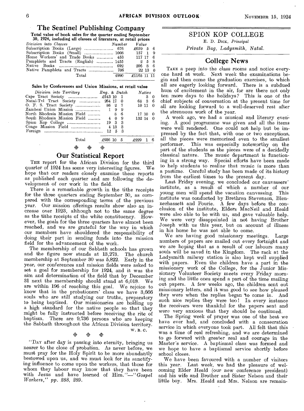### The Sentinel Publishing Company

Total value of book sales for the quarter ending September

| 30, 1924, including all classes of literature, at retail prices |                   |  |
|-----------------------------------------------------------------|-------------------|--|
| Division into Classes                                           | Number Value      |  |
| Subscription Books (Large)  676 £659 5 6                        |                   |  |
|                                                                 | 157 1 9           |  |
| Home Workers' and Trade Books  453                              | 117 17 6          |  |
| Pamphlets and Tracts (English)  1455                            | 258               |  |
|                                                                 | $206 \t8 \t6$     |  |
|                                                                 | $22\ \ 13\quad 0$ |  |
| Total                                                           | 4990 £1165 11 11  |  |

#### Sales by Conferences and Union Missions, at retail value

| Division into Territory Eng. & Dutch |                |                 |                          |        | Native |    |
|--------------------------------------|----------------|-----------------|--------------------------|--------|--------|----|
|                                      |                |                 | - 1                      |        | 3      | -0 |
| Natal-Tvl Tract Society  264 17      |                |                 | $\overline{\phantom{0}}$ |        | 68 3   | 6  |
|                                      |                |                 | - 7                      | 1011   |        | 0  |
|                                      |                |                 | 9                        |        |        |    |
| North Rhodesia Mission Field         |                | 8               | 6                        | 17 10  |        | 0  |
| South Rhodesia Mission Field         | $\overline{4}$ | $\bf{0}$        | 9                        | 132 14 |        | ∩  |
|                                      |                | 19 <sub>3</sub> | -3                       |        |        |    |
|                                      |                |                 | я                        |        |        |    |
|                                      | 12             |                 | 5<br>З                   |        |        |    |
| Total                                | £936 10        |                 | 5 <sub>5</sub>           | -6999  |        | -6 |
| ⊗                                    | ⊗              |                 |                          |        |        |    |

### Our Statistical Report

THE report for the African Division for the third quarter of 1924 has some very interesting figures. We hope that our readers closely examine these reports as published each quarter and are following the development of our work in the field.

There is a remarkable growth in the tithe receipts for the three quarters ending September 30, as compared with the corresponding terms of the previous year. Our mission offerings results show also an increase over 1923, although not to the same degree as the tithe receipts of the white constituency. However, the goals for the three quarters have almost been reached, and we are grateful for the way in which our members have shouldered the responsibility of doing their part in sending funds into the mission field for the advancement of the work.

The membership of our Sabbath schools has grown and the figure now stands at  $13,273$ . membership at September 30 was 5,822. Early in the year, our conferences and mission fields were asked to set a goal for membership for 1924, and it was the aim and determination of the field that by December 31 next the membership should stand at  $6,018$ . are within 196 of reaching this goal. We rejoice to know that in the probationers' class we have 3,666 souls who are still studying our truths, preparatory to being baptized. Our missionaries are holding up a high standard for the native people so that they might be fully instructed before receiving the rite of baptism. There are 9,736 persons who are keeping the Sabbath throughout the African Division territory.<br>  $\frac{1}{2}$  W. B. C.<br>  $\frac{1}{2}$  W. B. C. W. B. C.

"DAY after day is passing into eternity, bringing us nearer to the close of probation. As never before, we must pray for the Holy Spirit to be more abundantly bestowed upon us, and we must look for its sanctifying influence to come upon the workers, that those for whom they labour may know that they have been with Jesus and have learned of *Him."—"Gospel Workers," pp. 288, 289.* 

### SPION KOP COLLEGE E. D. Dick, *Principal*

*Private Bag, Ladysmith, Natal.* 

### College News

TAKE a peep into the class rooms and notice everyone hard at work. Next week the examinations begin and then come the graduation exercises, to which all are eagerly looking forward.. There is a subdued hum of excitement in the air, for are there not only ten more days to the holidays? This is one of the chief subjects of conversation at the present time for all are looking forward to a well-deserved rest after the strenuous work of the year.

A week ago, we had a musical and literary evening. A good programme was given and all the items were well rendered. One could not help but be impressed by the fact that, with one or two exceptions, all the pieces were memorized even to the smallest performer. This was especially noteworthy on the This was especially noteworthy on the part of the students as the pieces were of a decidedly classical nature. The music department is functioning in a strong way. Special efforts have been made to help students to realize that music is more than a pastime. Careful study has been made of its history from the earliest times to the present day.

Last Friday evening, we concluded our canvassers' institute, as a result of which a number of our young men will spend the vacation canvassing. This young men will spend the vacation canvassing. institute was conducted by Brethren Stevenson, Blennerhassett and Fourie. A few days before the conclusion of the institute, Elders MacNeil and Heald were also able to be with us, and gave valuable help. We were very disappointed in not having Brother Joseph with us this year, but on account of illness in his home he was not able to come.

We are having good missionary meetings. Large numbers of papers are mailed out every fortnight and we are hoping that as a result of our labours many souls will be saved in the Kingdom. The rack at the Ladysmith railway station is also kept well supplied with papers. Even the children have a part in the missionary work of the College, for the Junior Missionary Volunteer Society meets every Friday morning and the little ones spend a part of the time mailing out papers. A few weeks ago, the children sent out missionary letters, and it was good to see how pleased they were when the replies began to come in. And such nice replies they were too! In every instance the receivers were thankful for the papers sent and were very anxious that they should be continued.

The Spring week of prayer was one of the best we have ever had, and concluded with a consecration service in which everyone took part. All felt that this was a time of real refreshing, and we are determined to go forward- with greater zeal and courage in the Master's service. A baptismal class was formed and we hope to have a baptismal service shortly before school closes.

We have been favoured with a number of visitors this year. Last week, we had the pleasure of welcoming Elder Heald (our new conference president) and his wife and Brother and Sister Nelson and their little boy. Mrs. Heald and Mrs. Nelson are remain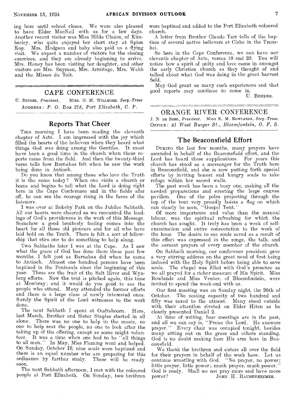ing here until school closes. We were also pleased to have Elder MacNeil with us for a few days. Another recent visitor was Miss Hilda Choice, of Kimberley, who quite enjoyed her short stay at Spion Kop. Mrs. Hodgson and baby also paid us a flying visit. We expect a number of visitors for the closing exercises, and they are already beginning to arrive. Mrs. Honey has been visiting her daughter, and other visitors are Mrs. Snyman, Mrs. Armitage, Mrs. Webb and the Misses du Toit.

### CAPE CONFERENCE

U. BENDER, President, Miss. O. M. WILLMORE, Secy.-Treas ADDRESS : *P. 0. Box 378, Port Elizabeth, C. P.* 

### Reports That Cheer

THIS morning I have been reading the eleventh chapter of Acts. I am impressed with the joy which filled the hearts of the believers when they heard what things God was doing among the Gentiles. It must have been a good time in the church when these reports came from the field. And then the twenty-third verse tells how Barnabas felt when he saw the work being done in Antioch.

Do you know that among those who love the Truth it is the same today? When one visits a church or home and begins to tell what the Lord is doing right here in "the Cape Conference and in the fields afar off, he can see the courage rising in the faces of the listeners.

I was over at Rokeby" Park on the Jubilee Sabbath. All our hearts were cheered as we recounted the leadings of God's providences in the work of this Message. Somehow a good brotherly feeling comes into the heart for all those old pioneers and for all who have laid hold on the Truth. There is felt a sort of fellowship that stirs one to do something to help along.

Two Sabbaths later I was at the Cape. As I saw what the grace of God has done there these past few months, I felt just as Barnabas did when he came to Antioch. Almost one hundred persons have been baptized in the Peninsula since the beginning of this year. These are the fruit of the Salt River and Wynberg efforts. Now the tent is pitched again, this time at Mowbray; and it would do you good to see the people who attend. Many attended the former efforts and there is a large class of newly interested ones. Surely the Spirit of the Lord witnesses to the work done.

The next Sabbath I spent at Oudtshoorn. Here, last March, Brother and Sister Staples started in all alone. There was no one to help in the music, no one to help seat the people, no one to look after the taking up of the offering, except as some might volunteer. It was a time when one had to be "all things to all men." In May, Miss Fleming went and helped. On Sunday, October 19, nine souls were baptized and there is an equal number who are preparing for this ordinance by further study. These will be ready soon.

The next Sabbath afternoon, I met with the coloured people at Port Elizabeth. On Sunday, two brethren

were baptized and added to the Port Elizabeth coloured church.

A letter from Brother Claude Tarr tells of the baptism of several native believers at Clebe in the Transkei.

So here in the Cape Conference, we can have our eleventh chapter of Acts, verses 18 and 23. You will notice how a spirit of unity and love came in amongst the early Christian church as they thought of and talked about what God was doing in the great harvest field.

May God grant us many such experiences and that good reports may continue to come in.

U. BENDER.

### ORANGE RIVER CONFERENCE

*J. N.* DE BEER, *President.* Miss E. M. ROWLANDS, *Secy.-Treas.*  OFFICE: *41 West Burger St., Bloemfontein, 0. F. S.* 

### The Beaconsfield Effort

DURING the last few months, many prayers have ascended in behalf of the Beaconsfield effort, and the Lord has heard these supplications. For years this church has stood as a messenger for the Truth here in Beaconsfield, and she is now putting forth special efforts by inviting honest and hungry souls to take refuge within her sacred walls.

The past week has been a busy one, making all the needed preparations and erecting the large canvas pavilion. One of the poles projecting through the top of the tent very proudly hoists a flag on which can clearly be seen, "Gospel Tent."

Of more importance and value than the manual labour, was the spiritual refreshing for which the church has sought. It truly has been a week of selfexamination and entire consecration to the work of the hour. The desire to see souls saved as a result of this effort was expressed in the songs, the talk, and the earnest prayers of every member of the church.

On Sabbath morning, our conference president gave a very stirring address on the great need of first being imbued with the Holy Spirit before being able to save souls. The chapel was filled with God's presence as we all prayed for a richer measure of His Spirit. Miss Rowlands and Miss Venter, of Bloemfontein, were invited to spend the week-end with us.

Our first meeting was on Sunday night, the 26th of October. The seating capacity of two hundred and fifty was taxed to the utmost. Many stood outside with their attention riveted on Elder Hiten as he clearly presented Daniel 2.

At time of writing, four meetings are in the past, and all we can say is, "Praise the Lord. He answers prayer." Every chair was occupied tonight, besides many sitting out on the grass and others standing. God is no doubt making bare His arm here in Beaconsfield.

We thank the brethren and sisters all over the field for their prayers in behalf of the work here. Let us continue wrestling with God. "No prayer, no power; little prayer, little power ; much prayer, much power." God is ready. Shall we not pray more and have more power? JOHN H. RAUBENHEIMER. JOHN H. RAUBENHEIMER.